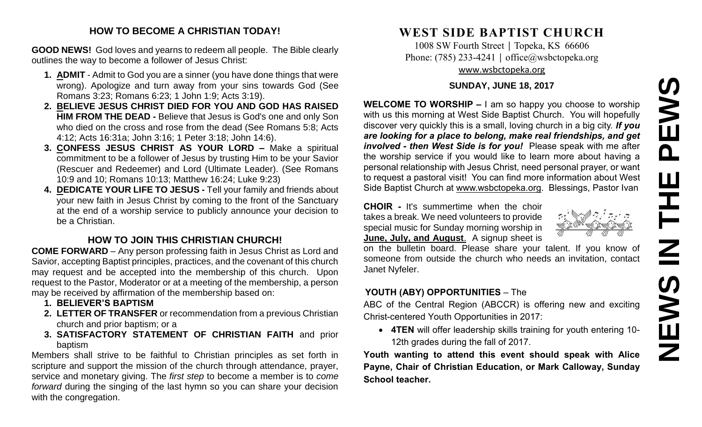# **NEWS IN THE PEWS**PEWS Ш ᆍ  $\overline{\mathbf{Z}}$ **SANEWS**

## **HOW TO BECOME A CHRISTIAN TODAY!**

**GOOD NEWS!** God loves and yearns to redeem all people. The Bible clearly outlines the way to become a follower of Jesus Christ:

- **1. ADMIT** Admit to God you are a sinner (you have done things that were wrong). Apologize and turn away from your sins towards God (See Romans 3:23; Romans 6:23; 1 John 1:9; Acts 3:19).
- **2. BELIEVE JESUS CHRIST DIED FOR YOU AND GOD HAS RAISED HIM FROM THE DEAD -** Believe that Jesus is God's one and only Son who died on the cross and rose from the dead (See Romans 5:8; Acts 4:12; Acts 16:31a; John 3:16; 1 Peter 3:18; John 14:6).
- **3. CONFESS JESUS CHRIST AS YOUR LORD –** Make a spiritual commitment to be a follower of Jesus by trusting Him to be your Savior (Rescuer and Redeemer) and Lord (Ultimate Leader). (See Romans 10:9 and 10; Romans 10:13; Matthew 16:24; Luke 9:23)
- **4. DEDICATE YOUR LIFE TO JESUS -** Tell your family and friends about your new faith in Jesus Christ by coming to the front of the Sanctuary at the end of a worship service to publicly announce your decision to be a Christian.

# **HOW TO JOIN THIS CHRISTIAN CHURCH!**

**COME FORWARD** – Any person professing faith in Jesus Christ as Lord and Savior, accepting Baptist principles, practices, and the covenant of this church may request and be accepted into the membership of this church. Upon request to the Pastor, Moderator or at a meeting of the membership, a person may be received by affirmation of the membership based on:

- **1. BELIEVER'S BAPTISM**
- **2. LETTER OF TRANSFER** or recommendation from a previous Christian church and prior baptism; or a
- **3. SATISFACTORY STATEMENT OF CHRISTIAN FAITH** and prior baptism

Members shall strive to be faithful to Christian principles as set forth in scripture and support the mission of the church through attendance, prayer, service and monetary giving. The *first step* to become a member is to *come forward* during the singing of the last hymn so you can share your decision with the congregation.

# **WEST SIDE BAPTIST CHURCH**

1008 SW Fourth Street | Topeka, KS 66606 Phone: (785) 233-4241 │ [office@wsbctopeka.org](mailto:office@wsbctopeka.org) [www.wsbctopeka.org](http://www.wsbctopeka.org/)

#### **SUNDAY, JUNE 18, 2017**

**WELCOME TO WORSHIP –** I am so happy you choose to worship with us this morning at West Side Baptist Church. You will hopefully discover very quickly this is a small, loving church in a big city. *If you are looking for a place to belong, make real friendships, and get involved - then West Side is for you!* Please speak with me after the worship service if you would like to learn more about having a personal relationship with Jesus Christ, need personal prayer, or want to request a pastoral visit! You can find more information about West Side Baptist Church at [www.wsbctopeka.org.](http://www.wsbctopeka.org/) Blessings, Pastor Ivan

**CHOIR -** It's summertime when the choir takes a break. We need volunteers to provide special music for Sunday morning worship in **June, July, and August**. A signup sheet is

on the bulletin board. Please share your talent. If you know of someone from outside the church who needs an invitation, contact Janet Nyfeler.

# **YOUTH (ABY) OPPORTUNITIES** – The

ABC of the Central Region (ABCCR) is offering new and exciting Christ-centered Youth Opportunities in 2017:

• **4TEN** will offer leadership skills training for youth entering 10- 12th grades during the fall of 2017.

**Youth wanting to attend this event should speak with Alice Payne, Chair of Christian Education, or Mark Calloway, Sunday School teacher.**

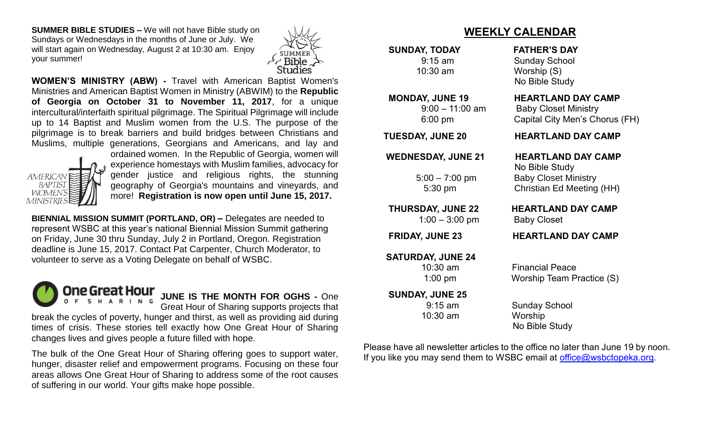**SUMMER BIBLE STUDIES –** We will not have Bible study on Sundays or Wednesdays in the months of June or July. We will start again on Wednesday, August 2 at 10:30 am. Enjoy your summer!



**WOMEN'S MINISTRY (ABW) -** Travel with American Baptist Women's Ministries and American Baptist Women in Ministry (ABWIM) to the **Republic of Georgia on October 31 to November 11, 2017**, for a unique intercultural/interfaith spiritual pilgrimage. The Spiritual Pilgrimage will include up to 14 Baptist and Muslim women from the U.S. The purpose of the pilgrimage is to break barriers and build bridges between Christians and Muslims, multiple generations, Georgians and Americans, and lay and



ordained women. In the Republic of Georgia, women will experience homestays with Muslim families, advocacy for gender justice and religious rights, the stunning geography of Georgia's mountains and vineyards, and more! **Registration is now open until June 15, 2017.**

**BIENNIAL MISSION SUMMIT (PORTLAND, OR) –** Delegates are needed to represent WSBC at this year's national Biennial Mission Summit gathering on Friday, June 30 thru Sunday, July 2 in Portland, Oregon. Registration deadline is June 15, 2017. Contact Pat Carpenter, Church Moderator, to volunteer to serve as a Voting Delegate on behalf of WSBC.



**JUNE IS THE MONTH FOR OGHS -** One

Great Hour of Sharing supports projects that

break the cycles of poverty, hunger and thirst, as well as providing aid during times of crisis. These stories tell exactly how One Great Hour of Sharing changes lives and gives people a future filled with hope.

The bulk of the One Great Hour of Sharing offering goes to support water, hunger, disaster relief and empowerment programs. Focusing on these four areas allows One Great Hour of Sharing to address some of the root causes of suffering in our world. Your gifts make hope possible.

# **WEEKLY CALENDAR**

**SUNDAY, TODAY FATHER'S DAY**

1:00 – 3:00 pm Baby Closet

**SATURDAY, JUNE 24**

 **SUNDAY, JUNE 25**

10:30 am Worship

9:15 am Sunday School 10:30 am Worship (S) No Bible Study

#### **MONDAY, JUNE 19 HEARTLAND DAY CAMP**

 9:00 – 11:00 am Baby Closet Ministry 6:00 pm Capital City Men's Chorus (FH)

 **TUESDAY, JUNE 20 HEARTLAND DAY CAMP**

 **WEDNESDAY, JUNE 21 HEARTLAND DAY CAMP**

 No Bible Study 5:00 – 7:00 pm Baby Closet Ministry 5:30 pm Christian Ed Meeting (HH)

**THURSDAY, JUNE 22 HEARTLAND DAY CAMP** 

## **FRIDAY, JUNE 23 HEARTLAND DAY CAMP**

 10:30 am Financial Peace 1:00 pm Worship Team Practice (S)

 9:15 am Sunday School No Bible Study

Please have all newsletter articles to the office no later than June 19 by noon. If you like you may send them to WSBC email at [office@wsbctopeka.org.](mailto:office@wsbctopeka.org)